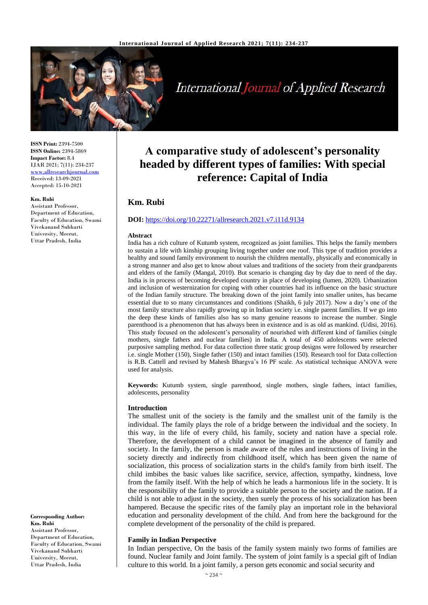

# **International Journal of Applied Research**

**ISSN Print:** 2394-7500 **ISSN Online:** 2394-5869 **Impact Factor:** 8.4 IJAR 2021; 7(11): 234-237 <www.allresearchjournal.com> Received: 13-09-2021 Accepted: 15-10-2021

#### **Km. Rubi**

Assistant Professor, Department of Education, Faculty of Education, Swami Vivekanand Subharti University, Meerut, Uttar Pradesh, India

**Corresponding Author: Km. Rubi** Assistant Professor, Department of Education. Faculty of Education, Swami Vivekanand Subharti University, Meerut, Uttar Pradesh, India

## **A comparative study of adolescent's personality headed by different types of families: With special reference: Capital of India**

### **Km. Rubi**

#### **DOI:** <https://doi.org/10.22271/allresearch.2021.v7.i11d.9134>

#### **Abstract**

India has a rich culture of Kutumb system, recognized as joint families. This helps the family members to sustain a life with kinship grouping living together under one roof. This type of tradition provides a healthy and sound family environment to nourish the children mentally, physically and economically in a strong manner and also get to know about values and traditions of the society from their grandparents and elders of the family (Mangal, 2010). But scenario is changing day by day due to need of the day. India is in process of becoming developed country in place of developing (lumen, 2020). Urbanization and inclusion of westernization for coping with other countries had its influence on the basic structure of the Indian family structure. The breaking down of the joint family into smaller unites, has became essential due to so many circumstances and conditions (Shaikh, 6 july 2017). Now a day's one of the most family structure also rapidly growing up in Indian society i.e. single parent families. If we go into the deep these kinds of families also has so many genuine reasons to increase the number. Single parenthood is a phenomenon that has always been in existence and is as old as mankind. (Udisi, 2016). This study focused on the adolescent's personality of nourished with different kind of families (single mothers, single fathers and nuclear families) in India. A total of 450 adolescents were selected purposive sampling method. For data collection three static group designs were followed by researcher i.e. single Mother (150), Single father (150) and intact families (150). Research tool for Data collection is R.B. Cattell and revised by Mahesh Bhargva's 16 PF scale. As statistical technique ANOVA were used for analysis.

**Keywords:** Kutumb system, single parenthood, single mothers, single fathers, intact families, adolescents, personality

#### **Introduction**

The smallest unit of the society is the family and the smallest unit of the family is the individual. The family plays the role of a bridge between the individual and the society. In this way, in the life of every child, his family, society and nation have a special role. Therefore, the development of a child cannot be imagined in the absence of family and society. In the family, the person is made aware of the rules and instructions of living in the society directly and indirectly from childhood itself, which has been given the name of socialization, this process of socialization starts in the child's family from birth itself. The child imbibes the basic values like sacrifice, service, affection, sympathy, kindness, love from the family itself. With the help of which he leads a harmonious life in the society. It is the responsibility of the family to provide a suitable person to the society and the nation. If a child is not able to adjust in the society, then surely the process of his socialization has been hampered. Because the specific rites of the family play an important role in the behavioral education and personality development of the child. And from here the background for the complete development of the personality of the child is prepared.

#### **Family in Indian Perspective**

In Indian perspective, On the basis of the family system mainly two forms of families are found. Nuclear family and Joint family. The system of joint family is a special gift of Indian culture to this world. In a joint family, a person gets economic and social security and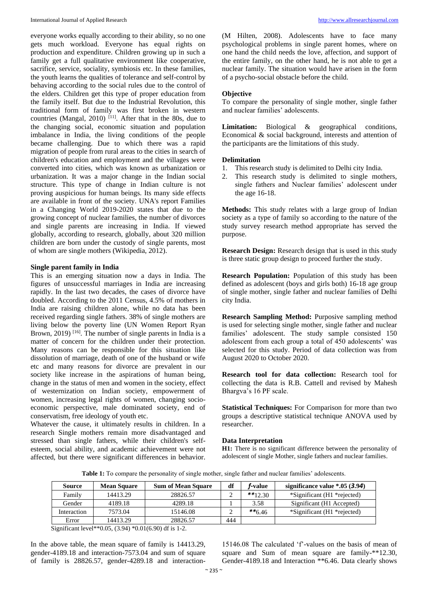everyone works equally according to their ability, so no one gets much workload. Everyone has equal rights on production and expenditure. Children growing up in such a family get a full qualitative environment like cooperative, sacrifice, service, sociality, symbiosis etc. In these families, the youth learns the qualities of tolerance and self-control by behaving according to the social rules due to the control of the elders. Children get this type of proper education from the family itself. But due to the Industrial Revolution, this traditional form of family was first broken in western countries (Mangal, 2010)  $^{[11]}$ . After that in the 80s, due to the changing social, economic situation and population imbalance in India, the living conditions of the people became challenging. Due to which there was a rapid migration of people from rural areas to the cities in search of children's education and employment and the villages were converted into cities, which was known as urbanization or urbanization. It was a major change in the Indian social structure. This type of change in Indian culture is not proving auspicious for human beings. Its many side effects are available in front of the society. UNA's report Families in a Changing World 2019-2020 states that due to the growing concept of nuclear families, the number of divorces and single parents are increasing in India. If viewed globally, according to research, globally, about 320 million children are born under the custody of single parents, most of whom are single mothers (Wikipedia, 2012).

#### **Single parent family in India**

This is an emerging situation now a days in India. The figures of unsuccessful marriages in India are increasing rapidly. In the last two decades, the cases of divorce have doubled. According to the 2011 Census, 4.5% of mothers in India are raising children alone, while no data has been received regarding single fathers. 38% of single mothers are living below the poverty line (UN Women Report Ryan Brown,  $2019$ ) <sup>[16]</sup>. The number of single parents in India is a matter of concern for the children under their protection. Many reasons can be responsible for this situation like dissolution of marriage, death of one of the husband or wife etc and many reasons for divorce are prevalent in our society like increase in the aspirations of human being, change in the status of men and women in the society, effect of westernization on Indian society, empowerment of women, increasing legal rights of women, changing socioeconomic perspective, male dominated society, end of conservatism, free ideology of youth etc.

Whatever the cause, it ultimately results in children. In a research Single mothers remain more disadvantaged and stressed than single fathers, while their children's selfesteem, social ability, and academic achievement were not affected, but there were significant differences in behavior.

(M Hilten, 2008). Adolescents have to face many psychological problems in single parent homes, where on one hand the child needs the love, affection, and support of the entire family, on the other hand, he is not able to get a nuclear family. The situation would have arisen in the form of a psycho-social obstacle before the child.

#### **Objective**

To compare the personality of single mother, single father and nuclear families' adolescents.

**Limitation:** Biological & geographical conditions, Economical & social background, interests and attention of the participants are the limitations of this study.

#### **Delimitation**

- 1. This research study is delimited to Delhi city India.
- 2. This research study is delimited to single mothers, single fathers and Nuclear families' adolescent under the age 16-18.

**Methods:** This study relates with a large group of Indian society as a type of family so according to the nature of the study survey research method appropriate has served the purpose.

**Research Design:** Research design that is used in this study is three static group design to proceed further the study.

**Research Population:** Population of this study has been defined as adolescent (boys and girls both) 16-18 age group of single mother, single father and nuclear families of Delhi city India.

**Research Sampling Method:** Purposive sampling method is used for selecting single mother, single father and nuclear families' adolescent. The study sample consisted 150 adolescent from each group a total of 450 adolescents' was selected for this study. Period of data collection was from August 2020 to October 2020.

**Research tool for data collection:** Research tool for collecting the data is R.B. Cattell and revised by Mahesh Bhargva's 16 PF scale.

**Statistical Techniques:** For Comparison for more than two groups a descriptive statistical technique ANOVA used by researcher.

#### **Data Interpretation**

**H1:** There is no significant difference between the personality of adolescent of single Mother, single fathers and nuclear families.

**Table 1:** To compare the personality of single mother, single father and nuclear families' adolescents.

| <b>Source</b> | <b>Mean Square</b> | <b>Sum of Mean Square</b> | df  | <i>f</i> -value | significance value $*0.05$ (3.94) |
|---------------|--------------------|---------------------------|-----|-----------------|-----------------------------------|
| Family        | 14413.29           | 28826.57                  |     | $**12.30$       | *Significant (H1 *rejected)       |
| Gender        | 4189.18            | 4289.18                   |     | 3.58            | Significant (H1 Accepted)         |
| Interaction   | 7573.04            | 15146.08                  |     | $**6.46$        | *Significant (H1 *rejected)       |
| Error         | 14413.29           | 28826.57                  | 444 |                 |                                   |

Significant level\*\*0.05, (3.94) \*0.01(6.90) df is 1-2.

In the above table, the mean square of family is 14413.29, gender-4189.18 and interaction-7573.04 and sum of square of family is 28826.57, gender-4289.18 and interaction-

15146.08 The calculated 'f'-values on the basis of mean of square and Sum of mean square are family-\*\*12.30, Gender-4189.18 and Interaction \*\*6.46. Data clearly shows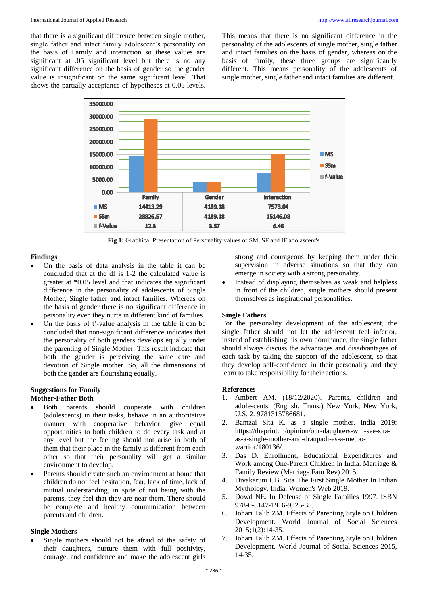that there is a significant difference between single mother, single father and intact family adolescent's personality on the basis of Family and interaction so these values are significant at .05 significant level but there is no any significant difference on the basis of gender so the gender value is insignificant on the same significant level. That shows the partially acceptance of hypotheses at 0.05 levels.

This means that there is no significant difference in the personality of the adolescents of single mother, single father and intact families on the basis of gender, whereas on the basis of family, these three groups are significantly different. This means personality of the adolescents of single mother, single father and intact families are different.



**Fig 1:** Graphical Presentation of Personality values of SM, SF and IF adolascent's

#### **Findings**

- On the basis of data analysis in the table it can be concluded that at the df is 1-2 the calculated value is greater at \*0.05 level and that indicates the significant difference in the personality of adolescents of Single Mother, Single father and intact families. Whereas on the basis of gender there is no significant difference in personality even they nurte in different kind of families
- On the basis of t'-value analysis in the table it can be concluded that non-significant difference indicates that the personality of both genders develops equally under the parenting of Single Mother. This result indicate that both the gender is perceiving the same care and devotion of Single mother. So, all the dimensions of both the gander are flourishing equally.

## **Suggestions for Family**

### **Mother-Father Both**

- Both parents should cooperate with children (adolescents) in their tasks, behave in an authoritative manner with cooperative behavior, give equal opportunities to both children to do every task and at any level but the feeling should not arise in both of them that their place in the family is different from each other so that their personality will get a similar environment to develop.
- Parents should create such an environment at home that children do not feel hesitation, fear, lack of time, lack of mutual understanding, in spite of not being with the parents, they feel that they are near them. There should be complete and healthy communication between parents and children.

#### **Single Mothers**

Single mothers should not be afraid of the safety of their daughters, nurture them with full positivity, courage, and confidence and make the adolescent girls

strong and courageous by keeping them under their supervision in adverse situations so that they can emerge in society with a strong personality.

Instead of displaying themselves as weak and helpless in front of the children, single mothers should present themselves as inspirational personalities.

#### **Single Fathers**

For the personality development of the adolescent, the single father should not let the adolescent feel inferior, instead of establishing his own dominance, the single father should always discuss the advantages and disadvantages of each task by taking the support of the adolescent, so that they develop self-confidence in their personality and they learn to take responsibility for their actions.

#### **References**

- 1. Ambert AM. (18/12/2020). Parents, children and adolescents. (English, Trans.) New York, New York, U.S. 2. 9781315786681.
- 2. Bamzai Sita K. as a single mother. India 2019: https://theprint.in/opinion/our-daughters-will-see-sitaas-a-single-mother-and-draupadi-as-a-metoowarrior/180136/.
- 3. Das D. Enrollment, Educational Expenditures and Work among One-Parent Children in India. Marriage & Family Review (Marriage Fam Rev) 2015.
- 4. Divakaruni CB. Sita The First Single Mother In Indian Mythology. India: Women's Web 2019.
- 5. Dowd NE. In Defense of Single Families 1997. ISBN 978-0-8147-1916-9, 25-35.
- 6. Johari Talib ZM. Effects of Parenting Style on Children Development. World Journal of Social Sciences 2015;1(2):14-35.
- 7. Johari Talib ZM. Effects of Parenting Style on Children Development. World Journal of Social Sciences 2015, 14-35.